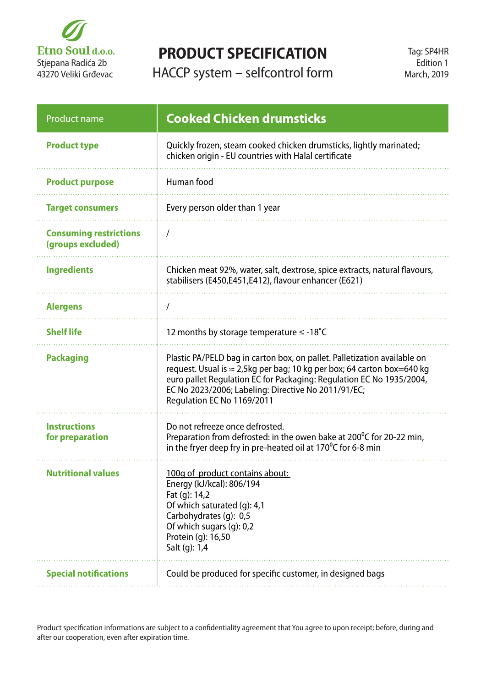

## **PRODUCT SPECIFICATION**

HACCP system – selfcontrol form

| <b>Product name</b>                                | <b>Cooked Chicken drumsticks</b>                                                                                                                                                                                                                                                                                |
|----------------------------------------------------|-----------------------------------------------------------------------------------------------------------------------------------------------------------------------------------------------------------------------------------------------------------------------------------------------------------------|
| <b>Product type</b>                                | Quickly frozen, steam cooked chicken drumsticks, lightly marinated;<br>chicken origin - EU countries with Halal certificate                                                                                                                                                                                     |
| <b>Product purpose</b>                             | Human food                                                                                                                                                                                                                                                                                                      |
| <b>Target consumers</b>                            | Every person older than 1 year                                                                                                                                                                                                                                                                                  |
| <b>Consuming restrictions</b><br>(groups excluded) | $\prime$                                                                                                                                                                                                                                                                                                        |
| <b>Ingredients</b>                                 | Chicken meat 92%, water, salt, dextrose, spice extracts, natural flavours,<br>stabilisers (E450,E451,E412), flavour enhancer (E621)                                                                                                                                                                             |
| <b>Alergens</b>                                    |                                                                                                                                                                                                                                                                                                                 |
| <b>Shelf life</b>                                  | 12 months by storage temperature $\leq$ -18°C                                                                                                                                                                                                                                                                   |
| <b>Packaging</b>                                   | Plastic PA/PELD bag in carton box, on pallet. Palletization available on<br>request. Usual is ≈ 2,5kg per bag; 10 kg per box; 64 carton box=640 kg<br>euro pallet Regulation EC for Packaging: Regulation EC No 1935/2004,<br>EC No 2023/2006; Labeling: Directive No 2011/91/EC;<br>Regulation EC No 1169/2011 |
| <b>Instructions</b><br>for preparation             | Do not refreeze once defrosted.<br>Preparation from defrosted: in the owen bake at $200^{\circ}$ C for 20-22 min,<br>in the fryer deep fry in pre-heated oil at 170 $\degree$ C for 6-8 min                                                                                                                     |
| <b>Nutritional values</b>                          | 100g of product contains about:<br>Energy (kJ/kcal): 806/194<br>Fat (g): 14,2<br>Of which saturated (g): 4,1<br>Carbohydrates (g): 0,5<br>Of which sugars (g): 0,2<br>Protein (g): 16,50<br>Salt (g): 1,4                                                                                                       |
| <b>Special notifications</b>                       | Could be produced for specific customer, in designed bags                                                                                                                                                                                                                                                       |

Product specification informations are subject to a confidentiality agreement that You agree to upon receipt; before, during and after our cooperation, even after expiration time.